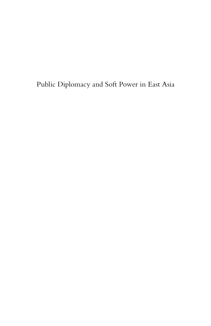Public Diplomacy and Soft Power in East Asia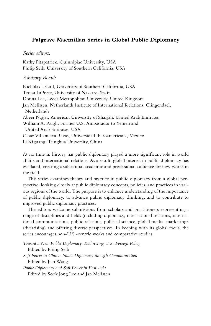#### **Palgrave Macmillan Series in Global Public Diplomacy**

#### *Series editors:*

Kathy Fitzpatrick, Quinnipiac University, USA Philip Seib, University of Southern California, USA

#### *Advisory Board:*

Nicholas J. Cull, University of Southern California, USA Teresa LaPorte, University of Navarre, Spain Donna Lee, Leeds Metropolitan University, United Kingdom Jan Melissen, Netherlands Institute of International Relations, Clingendael, Netherlands Abeer Najjar, American University of Sharjah, United Arab Emirates William A. Rugh, Former U.S. Ambassador to Yemen and United Arab Emirates, USA Cesar Villanueva Rivas, Universidad Iberoamericana, Mexico Li Xiguang, Tsinghua University, China

At no time in history has public diplomacy played a more significant role in world affairs and international relations. As a result, global interest in public diplomacy has escalated, creating a substantial academic and professional audience for new works in the field.

This series examines theory and practice in public diplomacy from a global perspective, looking closely at public diplomacy concepts, policies, and practices in various regions of the world. The purpose is to enhance understanding of the importance of public diplomacy, to advance public diplomacy thinking, and to contribute to improved public diplomacy practices.

The editors welcome submissions from scholars and practitioners representing a range of disciplines and fields (including diplomacy, international relations, international communications, public relations, political science, global media, marketing/ advertising) and offering diverse perspectives. In keeping with its global focus, the series encourages non-U.S.-centric works and comparative studies.

*Toward a New Public Diplomacy: Redirecting U.S. Foreign Policy* Edited by Philip Seib *Soft Power in China: Public Diplomacy through Communication* Edited by Jian Wang *Public Diplomacy and Soft Power in East Asia* Edited by Sook Jong Lee and Jan Melissen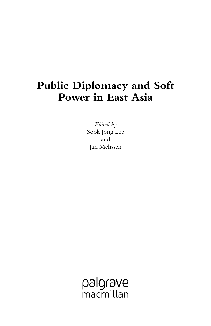# **Public Diplomacy and Soft Power in East Asia**

*Edited by* Sook Jong Lee and Jan Melissen

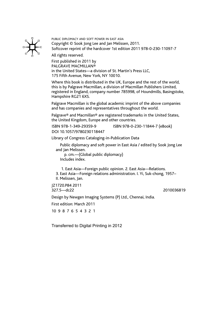

PUBLIC DIPLOMACY AND SOFT POWER IN EAST ASIA Copyright © Sook Jong Lee and Jan Melissen, 2011. Softcover reprint of the hardcover 1st edition 2011 978-0-230-11097-7

All rights reserved.

First published in 2011 by PALGRAVE MACMILLAN® in the United States—a division of St. Martin's Press LLC, 175 Fifth Avenue, New York, NY 10010.

Where this book is distributed in the UK, Europe and the rest of the world, this is by Palgrave Macmillan, a division of Macmillan Publishers Limited, registered in England, company number 785998, of Houndmills, Basingstoke, Hampshire RG21 6XS.

Palgrave Macmillan is the global academic imprint of the above companies and has companies and representatives throughout the world.

Palgrave® and Macmillan® are registered trademarks in the United States, the United Kingdom, Europe and other countries.

ISBN 978-1-349-29359-9 ISBN 978-0-230-11844-7 (eBook)

DOI 10.1057/9780230118447

Library of Congress Cataloging-in-Publication Data

Public diplomacy and soft power in East Asia / edited by Sook Jong Lee

and Jan Melissen.<br>p. cm.—(Global public diplomacy)<br>Includes index.

 1. East Asia—Foreign public opinion. 2. East Asia—Relations. 3. East Asia—Foreign relations administration. I. Yi, Suk-chong, 1957– II. Melissen, Jan.

JZ1720.P84 2011 327.5—dc22 2010036819

Design by Newgen Imaging Systems (P) Ltd., Chennai, India.

First edition: March 2011

10 9 8 7 6 5 4 3 2 1

Transferred to Digital Printing in 2012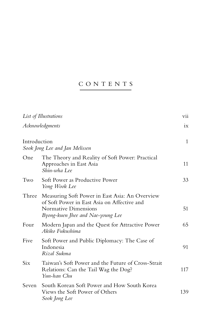## CONTENTS

|                 | List of Illustrations                                                                                                                                      | vii          |
|-----------------|------------------------------------------------------------------------------------------------------------------------------------------------------------|--------------|
| Acknowledgments |                                                                                                                                                            | ix           |
| Introduction    | Sook Jong Lee and Jan Melissen                                                                                                                             | $\mathbf{1}$ |
| One             | The Theory and Reality of Soft Power: Practical<br>Approaches in East Asia<br>Shin-wha Lee                                                                 | 11           |
| Two             | Soft Power as Productive Power<br>Yong Wook Lee                                                                                                            | 33           |
| Three           | Measuring Soft Power in East Asia: An Overview<br>of Soft Power in East Asia on Affective and<br>Normative Dimensions<br>Byong-kuen Jhee and Nae-young Lee | 51           |
| Four            | Modern Japan and the Quest for Attractive Power<br>Akiko Fukushima                                                                                         | 65           |
| Five            | Soft Power and Public Diplomacy: The Case of<br>Indonesia<br>Rizal Sukma                                                                                   | 91           |
| Six             | Taiwan's Soft Power and the Future of Cross-Strait<br>Relations: Can the Tail Wag the Dog?<br>Yun-han Chu                                                  | 117          |
| Seven           | South Korean Soft Power and How South Korea<br>Views the Soft Power of Others<br>Sook Jong Lee                                                             | 139          |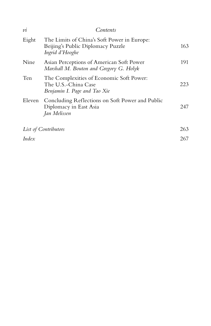| $\overline{\nu}$ | Contents                                                                                            |     |
|------------------|-----------------------------------------------------------------------------------------------------|-----|
| Eight            | The Limits of China's Soft Power in Europe:<br>Beijing's Public Diplomacy Puzzle<br>Ingrid d'Hooghe | 163 |
| Nine             | Asian Perceptions of American Soft Power<br>Marshall M. Bouton and Gregory G. Holyk                 | 191 |
| Ten              | The Complexities of Economic Soft Power:<br>The U.S.-China Case<br>Benjamin I. Page and Tao Xie     | 223 |
| Eleven           | Concluding Reflections on Soft Power and Public<br>Diplomacy in East Asia<br>Jan Melissen           | 247 |
|                  | List of Contributors                                                                                | 263 |
| Index            |                                                                                                     | 267 |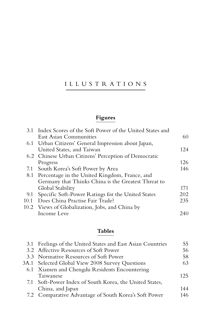## ILLUSTRATIONS

## **Figures**

| 3.1 Index Scores of the Soft Power of the United States and |      |
|-------------------------------------------------------------|------|
| <b>East Asian Communities</b>                               | 60   |
| 6.1 Urban Citizens' General Impression about Japan,         |      |
| United States, and Taiwan                                   | 12.4 |
| 6.2 Chinese Urban Citizens' Perception of Democratic        |      |
| Progress                                                    | 126  |
| 7.1 South Korea's Soft Power by Area                        | 146  |
| 8.1 Percentage in the United Kingdom, France, and           |      |
| Germany that Thinks China is the Greatest Threat to         |      |
| Global Stability                                            | 171  |
| 9.1 Specific Soft-Power Ratings for the United States       | 202  |
| Does China Practise Fair Trade?                             | 235  |
| Views of Globalization, Jobs, and China by                  |      |
| Income Leve                                                 | 240  |
|                                                             |      |

### **Tables**

| 3.1 Feelings of the United States and East Asian Countries | 55  |
|------------------------------------------------------------|-----|
| 3.2 Affective Resources of Soft Power                      | 56  |
| 3.3 Normative Resources of Soft Power                      | 58  |
| 3A.1 Selected Global View 2008 Survey Questions            | 63  |
| 6.1 Xiamen and Chengdu Residents Encountering              |     |
| Taiwanese                                                  | 125 |
| 7.1 Soft-Power Index of South Korea, the United States,    |     |
| China, and Japan                                           | 144 |
| 7.2 Comparative Advantage of South Korea's Soft Power      | 146 |
|                                                            |     |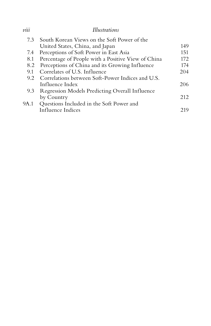## *viii Illustrations*

|      | 7.3 South Korean Views on the Soft Power of the    |     |
|------|----------------------------------------------------|-----|
|      | United States, China, and Japan                    | 149 |
|      | 7.4 Perceptions of Soft Power in East Asia         | 151 |
| 8.1  | Percentage of People with a Positive View of China | 172 |
| 8.2  | Perceptions of China and its Growing Influence     | 174 |
| 9.1  | Correlates of U.S. Influence                       | 204 |
| 9.2  | Correlations between Soft-Power Indices and U.S.   |     |
|      | Influence Index                                    | 206 |
|      | 9.3 Regression Models Predicting Overall Influence |     |
|      | by Country                                         | 212 |
| 9A.1 | Questions Included in the Soft Power and           |     |
|      | Influence Indices                                  | 219 |
|      |                                                    |     |